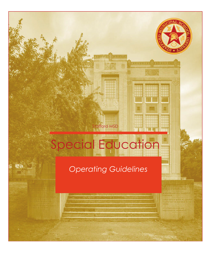# Special Education

N.

Stafford MSD

## *Operating Guidelines*

MAN SHOULD NEVE

IY ATTENTION IDEA<br>IEGISTERED IN THE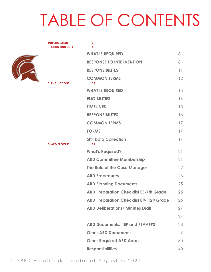# TABLE OF CONTENTS

## **INTRODUCTION 7 1. CHILD FIND DUTY 8 WHAT IS REQUIRED** 8 **RESPONSE TO INTERVENTION** 8 **RESPONSIBILITES** 11 **COMMON TERMS** 12 **2. EVALUATIONS 13 WHAT IS REQUIRED** 13 **ELIGIBILITIES** 14 **TIMELINES** 15 **RESPONSIBILITES** 16 **COMMON TERMS** 17 **FORMS** 17 **SPP Data Collection** 17 **3. ARD PROCESS 21 What's Required?** 21 **ARD Committee Membership** 21 **The Role of the Case Manager** 22 **ARD Procedures** 23 **ARD Planning Documents** 25 **ARD Preparation Checklist EE-7th Grade** 25 **ARD Preparation Checklist 8th- 12th Grade** 26 **ARD Deliberations/ Minutes Draft** 27 **ARD Documents: IEP and PLAAFPS** 28 **Other ARD Documents** 29 **Other Required ARD Areas** 30 **Responsibilities** 40

27

**ii** | SPED Handbook – Updated August 3, 2021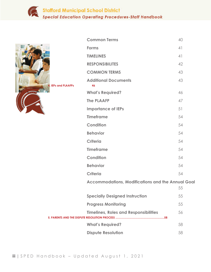

| <b>4. IEPs and PLAAFPs</b> | <b>Common Terms</b>                                      | 40 |
|----------------------------|----------------------------------------------------------|----|
|                            | <b>Forms</b>                                             | 41 |
|                            | <b>TIMELINES</b>                                         | 41 |
|                            | <b>RESPONSIBILITES</b>                                   | 42 |
|                            | <b>COMMON TERMS</b>                                      | 43 |
|                            | <b>Additional Documents</b><br>46                        | 43 |
|                            | <b>What's Required?</b>                                  | 46 |
|                            | <b>The PLAAFP</b>                                        | 47 |
|                            | <b>Importance of IEPs</b>                                | 51 |
|                            | <b>Timeframe</b>                                         | 54 |
|                            | <b>Condition</b>                                         | 54 |
|                            | <b>Behavior</b>                                          | 54 |
|                            | <b>Criteria</b>                                          | 54 |
|                            | <b>Timeframe</b>                                         | 54 |
|                            | <b>Condition</b>                                         | 54 |
|                            | <b>Behavior</b>                                          | 54 |
|                            | <b>Criteria</b>                                          | 54 |
|                            | <b>Accommodations, Modifications and the Annual Goal</b> |    |
|                            |                                                          | 55 |
|                            | <b>Specially Designed Instruction</b>                    | 55 |
|                            | <b>Progress Monitoring</b>                               | 55 |
|                            | <b>Timelines, Roles and Responsibilities</b>             | 56 |
|                            | <b>What's Required?</b>                                  | 58 |
|                            | <b>Dispute Resolution</b>                                | 58 |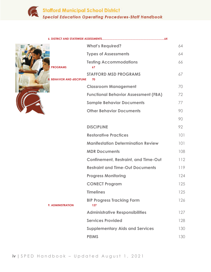|                                   | <b>What's Required?</b>                     |
|-----------------------------------|---------------------------------------------|
|                                   | <b>Types of Assessments</b>                 |
| <b>PROGRAMS</b>                   | <b>Testing Accommodations</b><br>67         |
| <b>8. BEHAVIOR AND dISCIPLINE</b> | <b>STAFFORD MSD PROGRAMS</b><br>70          |
|                                   | <b>Classroom Management</b>                 |
|                                   | <b>Functional Behavior Assessment (FBA)</b> |
|                                   | <b>Sample Behavior Documents</b>            |
|                                   | <b>Other Behavior Documents</b>             |
|                                   |                                             |
|                                   | <b>DISCIPLINE</b>                           |
|                                   | <b>Restorative Practices</b>                |
|                                   | <b>Manifestation Determination Review</b>   |
|                                   | <b>MDR Documents</b>                        |
|                                   | <b>Confinement, Restraint, and Time-Out</b> |
|                                   | <b>Restraint and Time-Out Documents</b>     |
|                                   | <b>Progress Monitoring</b>                  |
|                                   | <b>CONECT Program</b>                       |
|                                   | <b>Timelines</b>                            |
| <b>9. ADMINISTRATION</b>          | <b>BIP Progress Tracking Form</b><br>127    |
|                                   | <b>Administrative Responsibilities</b>      |
|                                   | <b>Services Provided</b>                    |
|                                   | <b>Supplementary Aids and Services</b>      |
|                                   | <b>PEIMS</b>                                |
|                                   |                                             |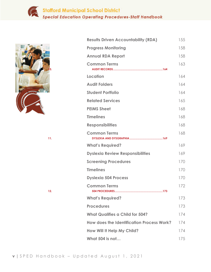

|     | <b>Results Driven Accountability (RDA)</b> | 155 |
|-----|--------------------------------------------|-----|
|     | <b>Progress Monitoring</b>                 | 158 |
|     | <b>Annual RDA Report</b>                   | 158 |
| 10. | <b>Common Terms</b>                        | 163 |
|     | Location                                   | 164 |
|     | <b>Audit Folders</b>                       | 164 |
|     | <b>Student Portfolio</b>                   | 164 |
|     | <b>Related Services</b>                    | 165 |
|     | <b>PEIMS Sheet</b>                         | 168 |
|     | <b>Timelines</b>                           | 168 |
|     | <b>Responsibilities</b>                    | 168 |
| 11. | <b>Common Terms</b>                        | 168 |
|     | <b>What's Required?</b>                    | 169 |
|     | <b>Dyslexia Review Responsibilities</b>    | 169 |
|     | <b>Screening Procedures</b>                | 170 |
|     | <b>Timelines</b>                           | 170 |
|     | <b>Dyslexia 504 Process</b>                | 170 |
| 12. | <b>Common Terms</b>                        | 172 |
|     | <b>What's Required?</b>                    | 173 |
|     | <b>Procedures</b>                          | 173 |
|     | <b>What Qualifies a Child for 504?</b>     | 174 |
|     | How does the Identification Process Work?  | 174 |
|     | How Will It Help My Child?                 | 174 |
|     | <b>What 504 is not</b>                     | 175 |
|     |                                            |     |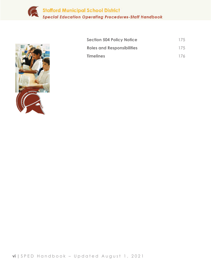



| <b>Section 504 Policy Notice</b>  | 175 |
|-----------------------------------|-----|
| <b>Roles and Responsibilities</b> | 175 |
| <b>Timelines</b>                  | 176 |

**vi** | SPED Handbook – Updated August 1, 2021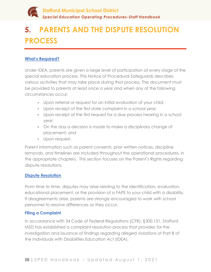## **5. PARENTS AND THE DISPUTE RESOLUTION PROCESS**

#### **What's Required?**

Under IDEA, parents are given a large level of participation at every stage of the special education process. This Notice of Procedural Safeguards describes various activities that may take place during that process. The document must be provided to parents at least once a year and when any of the following circumstances occur:

- Upon referral or request for an initial evaluation of your child;
- Upon receipt of the first state complaint in a school year;
- Upon receipt of the first request for a due process hearing in a school year;
- On the day a decision is made to make a disciplinary change of placement; and
- Upon request.

Parent information such as parent consents, prior written notices, discipline removals, and timelines are included throughout the operational procedures, in the appropriate chapters. This section focuses on the Parent's Rights regarding dispute resolutions.

#### **Dispute Resolution**

From time to time, disputes may arise relating to the identification, evaluation, educational placement, or the provision of a FAPE to your child with a disability. If disagreements arise, parents are strongly encouraged to work with school personnel to resolve differences as they occur.

#### **Filing a Complaint**

In accordance with 34 Code of Federal Regulations (CFR), §300.151, Stafford MSD has established a complaint resolution process that provides for the investigation and issuance of findings regarding alleged violations of Part B of the Individuals with Disabilities Education Act (IDEA).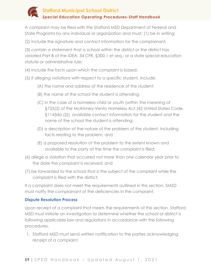A complaint may be filed with the Stafford MSD Department of Federal and State Programs by any individual or organization and must: (1) be in writing;

(2) include the signature and contact information for the complainant;

(3) contain a statement that a school within the district or the district has violated Part B of the IDEA; 34 CFR, §300.1 et seq.; or a state special education statute or administrative rule;

(4) include the facts upon which the complaint is based;

- (5) if alleging violations with respect to a specific student, include:
	- (A) the name and address of the residence of the student;
	- (B) the name of the school the student is attending;
	- (C) in the case of a homeless child or youth (within the meaning of §725(2) of the McKinney-Vento Homeless Act (42 United States Code, §11434a (2)), available contact information for the student and the name of the school the student is attending;
	- (D) a description of the nature of the problem of the student, including facts relating to the problem; and
	- (E) a proposed resolution of the problem to the extent known and available to the party at the time the complaint is filed;
- (6) allege a violation that occurred not more than one calendar year prior to the date the complaint is received; and
- (7) be forwarded to the school that is the subject of the complaint while the complaint is filed with the district.

If a complaint does not meet the requirements outlined in this section, SMSD must notify the complainant of the deficiencies in the complaint.

#### **Dispute Resolution Process**

Upon receipt of a complaint that meets the requirements of this section, Stafford MSD must initiate an investigation to determine whether the school or district is following applicable law and regulations in accordance with the following procedures.

1. Stafford MSD must send written notification to the parties acknowledging receipt of a complaint.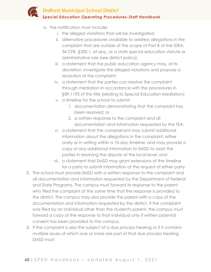- a. The notification must include:
	- i. the alleged violations that will be investigated;
	- ii. alternative procedures available to address allegations in the complaint that are outside of the scope of Part B of the IDEA; 34 CFR, §300.1, et seq.; or a state special education statute or administrative rule (see district policy);
	- iii. a statement that the public education agency may, at its discretion, investigate the alleged violations and propose a resolution of the complaint;
	- iv. a statement that the parties can resolve the complaint through mediation in accordance with the procedures in §89.1193 of this title (relating to Special Education Mediation);
	- v. a timeline for the school to submit:
		- 1. documentation demonstrating that the complaint has been resolved; or
		- 2. a written response to the complaint and all documentation and information requested by the TEA;
	- vi. a statement that the complainant may submit additional information about the allegations in the complaint, either orally or in writing within a 10-day timeline, and may provide a copy of any additional information to SMSD to assist the parties in resolving the dispute at the local level; and
	- vii. a statement that SMSD may grant extensions of the timeline for a party to submit information at the request of either party.
- 2. The school must provide SMSD with a written response to the complaint and all documentation and information requested by the Department of Federal and State Programs. The campus must forward its response to the parent who filed the complaint at the same time that the response is provided to the district. The campus may also provide the parent with a copy of the documentation and information requested by the district. If the complaint was filed by an individual other than the student's parent, the campus must forward a copy of the response to that individual only if written parental consent has been provided to the campus.
- 3. If the complaint is also the subject of a due process hearing or if it contains multiple issues of which one or more are part of that due process hearing, SMSD must: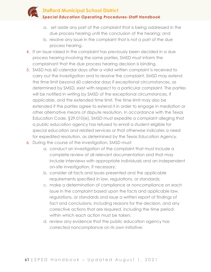- a. set aside any part of the complaint that is being addressed in the due process hearing until the conclusion of the hearing; and
- b. resolve any issue in the complaint that is not a part of the due process hearing.
- 4. If an issue raised in the complaint has previously been decided in a due process hearing involving the same parties, SMSD must inform the complainant that the due process hearing decision is binding.
- 5. SMSD has 60 calendar days after a valid written complaint is received to carry out the investigation and to resolve the complaint. SMSD may extend the time limit beyond 60 calendar days if exceptional circumstances, as determined by SMSD, exist with respect to a particular complaint. The parties will be notified in writing by SMSD of the exceptional circumstances, if applicable, and the extended time limit. The time limit may also be extended if the parties agree to extend it in order to engage in mediation or other alternative means of dispute resolution. In accordance with the Texas Education Code, §29.010(e), SMSD must expedite a complaint alleging that a public education agency has refused to enroll a student eligible for special education and related services or that otherwise indicates a need for expedited resolution, as determined by the Texas Education Agency.
- 6. During the course of the investigation, SMSD must:
	- a. conduct an investigation of the complaint that must include a complete review of all relevant documentation and that may include interviews with appropriate individuals and an independent on-site investigation, if necessary;
	- b. consider all facts and issues presented and the applicable requirements specified in law, regulations, or standards;
	- c. make a determination of compliance or noncompliance on each issue in the complaint based upon the facts and applicable law, regulations, or standards and issue a written report of findings of fact and conclusions, including reasons for the decision, and any corrective actions that are required, including the time period within which each action must be taken:
	- d. review any evidence that the public education agency has corrected noncompliance on its own initiative;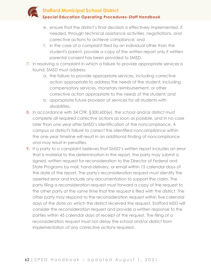- e. ensure that the district's final decision is effectively implemented, if needed, through technical assistance activities, negotiations, and corrective actions to achieve compliance; and
- f. in the case of a complaint filed by an individual other than the student's parent, provide a copy of the written report only if written parental consent has been provided to SMSD.
- 7. In resolving a complaint in which a failure to provide appropriate services is found, SMSD must address:
	- a. the failure to provide appropriate services, including corrective action appropriate to address the needs of the student, including compensatory services, monetary reimbursement, or other corrective action appropriate to the needs of the student; and
	- b. appropriate future provision of services for all students with disabilities.
- 8. In accordance with 34 CFR, §300.600(e), the school and/or district must complete all required corrective actions as soon as possible, and in no case later than one year after SMSD's identification of the noncompliance. A campus or district's failure to correct the identified noncompliance within the one-year timeline will result in an additional finding of noncompliance and may result in penalties.
- 9. If a party to a complaint believes that SMSD's written report includes an error that is material to the determination in the report, the party may submit a signed, written request for reconsideration to the Director of Federal and State Programs by mail, hand-delivery, or email within 15 calendar days of the date of the report. The party's reconsideration request must identify the asserted error and include any documentation to support the claim. The party filing a reconsideration request must forward a copy of the request to the other party at the same time that the request is filed with the district. The other party may respond to the reconsideration request within five calendar days of the date on which the district received the request. Stafford MSD will consider the reconsideration request and provide a written response to the parties within 45 calendar days of receipt of the request. The filing of a reconsideration request must not delay the school and/or district from implementation of any corrective actions required.